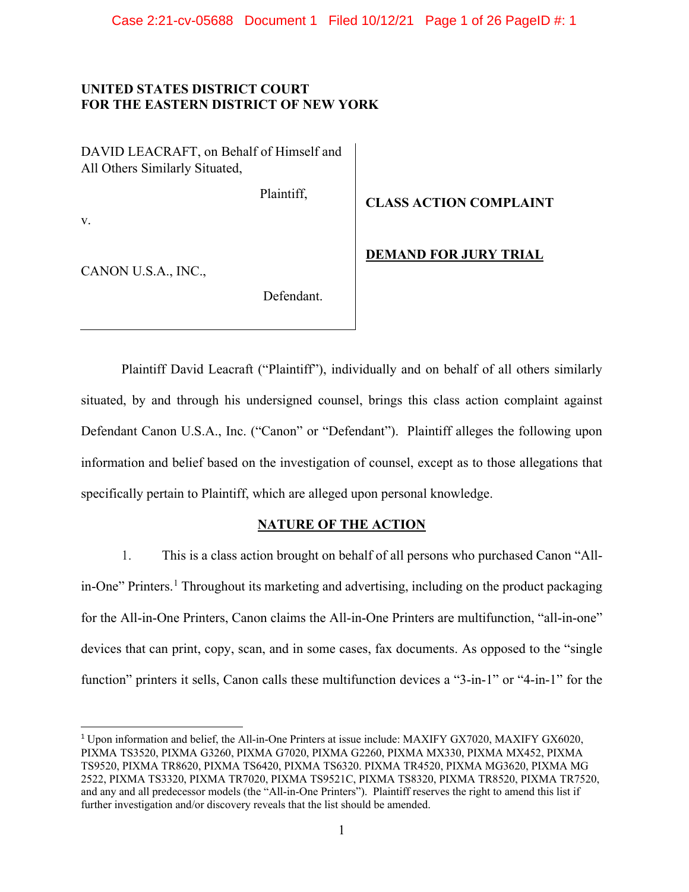# **UNITED STATES DISTRICT COURT FOR THE EASTERN DISTRICT OF NEW YORK**

DAVID LEACRAFT, on Behalf of Himself and All Others Similarly Situated,

Plaintiff,

# **CLASS ACTION COMPLAINT**

**DEMAND FOR JURY TRIAL**

v.

CANON U.S.A., INC.,

Defendant.

Plaintiff David Leacraft ("Plaintiff"), individually and on behalf of all others similarly situated, by and through his undersigned counsel, brings this class action complaint against Defendant Canon U.S.A., Inc. ("Canon" or "Defendant"). Plaintiff alleges the following upon information and belief based on the investigation of counsel, except as to those allegations that specifically pertain to Plaintiff, which are alleged upon personal knowledge.

# **NATURE OF THE ACTION**

1. This is a class action brought on behalf of all persons who purchased Canon "All-in-One" Printers.<sup>[1](#page-0-0)</sup> Throughout its marketing and advertising, including on the product packaging for the All-in-One Printers, Canon claims the All-in-One Printers are multifunction, "all-in-one" devices that can print, copy, scan, and in some cases, fax documents. As opposed to the "single function" printers it sells, Canon calls these multifunction devices a "3-in-1" or "4-in-1" for the

<span id="page-0-0"></span><sup>1</sup> Upon information and belief, the All-in-One Printers at issue include: MAXIFY GX7020, MAXIFY GX6020, PIXMA TS3520, PIXMA G3260, PIXMA G7020, PIXMA G2260, PIXMA MX330, PIXMA MX452, PIXMA TS9520, PIXMA TR8620, PIXMA TS6420, PIXMA TS6320. PIXMA TR4520, PIXMA MG3620, PIXMA MG 2522, PIXMA TS3320, PIXMA TR7020, PIXMA TS9521C, PIXMA TS8320, PIXMA TR8520, PIXMA TR7520, and any and all predecessor models (the "All-in-One Printers"). Plaintiff reserves the right to amend this list if further investigation and/or discovery reveals that the list should be amended.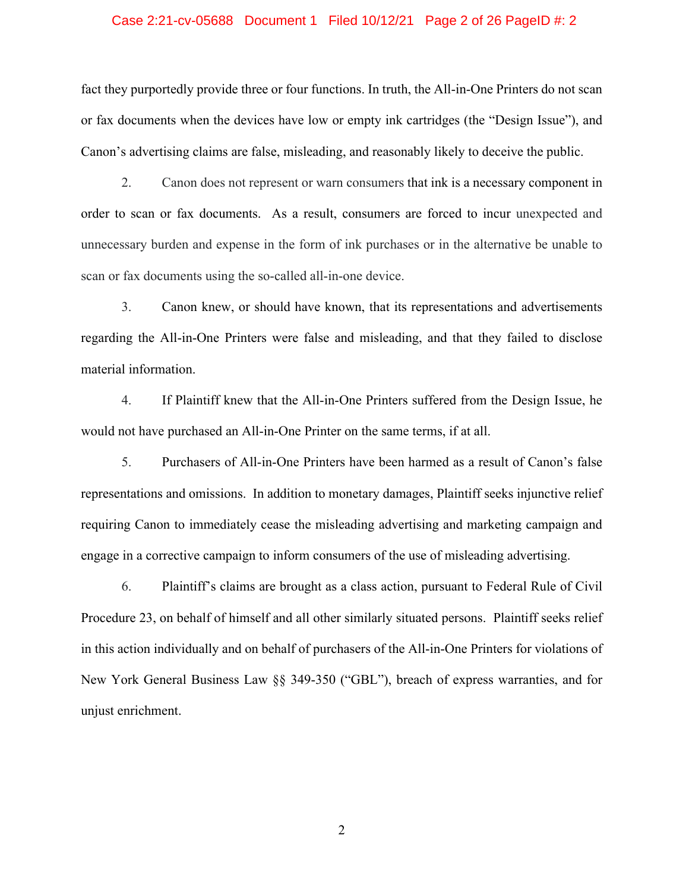#### Case 2:21-cv-05688 Document 1 Filed 10/12/21 Page 2 of 26 PageID #: 2

fact they purportedly provide three or four functions. In truth, the All-in-One Printers do not scan or fax documents when the devices have low or empty ink cartridges (the "Design Issue"), and Canon's advertising claims are false, misleading, and reasonably likely to deceive the public.

2. Canon does not represent or warn consumers that ink is a necessary component in order to scan or fax documents. As a result, consumers are forced to incur unexpected and unnecessary burden and expense in the form of ink purchases or in the alternative be unable to scan or fax documents using the so-called all-in-one device.

3. Canon knew, or should have known, that its representations and advertisements regarding the All-in-One Printers were false and misleading, and that they failed to disclose material information.

4. If Plaintiff knew that the All-in-One Printers suffered from the Design Issue, he would not have purchased an All-in-One Printer on the same terms, if at all.

5. Purchasers of All-in-One Printers have been harmed as a result of Canon's false representations and omissions. In addition to monetary damages, Plaintiff seeks injunctive relief requiring Canon to immediately cease the misleading advertising and marketing campaign and engage in a corrective campaign to inform consumers of the use of misleading advertising.

6. Plaintiff's claims are brought as a class action, pursuant to Federal Rule of Civil Procedure 23, on behalf of himself and all other similarly situated persons. Plaintiff seeks relief in this action individually and on behalf of purchasers of the All-in-One Printers for violations of New York General Business Law §§ 349-350 ("GBL"), breach of express warranties, and for unjust enrichment.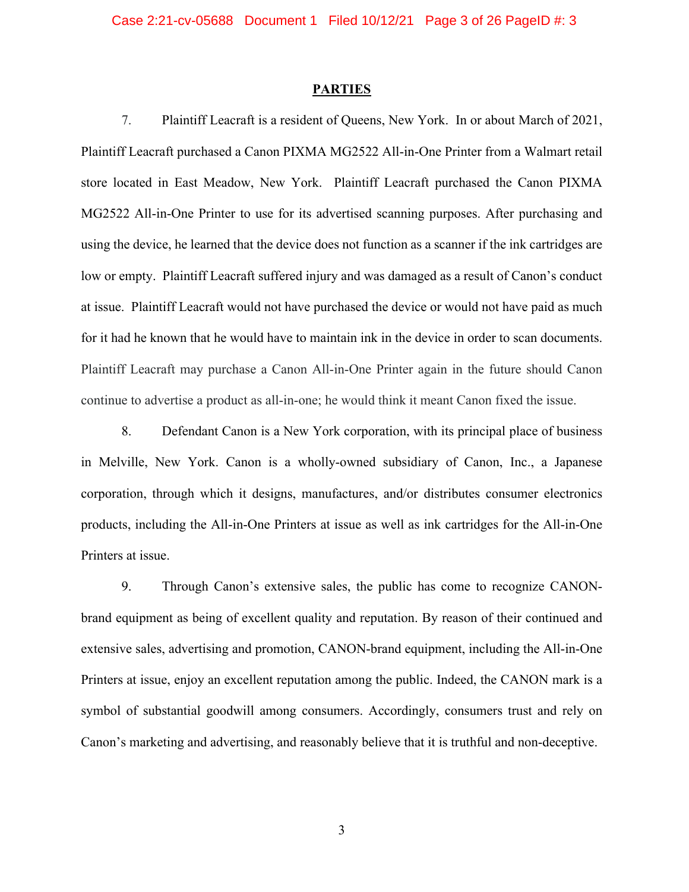#### **PARTIES**

7. Plaintiff Leacraft is a resident of Queens, New York. In or about March of 2021, Plaintiff Leacraft purchased a Canon PIXMA MG2522 All-in-One Printer from a Walmart retail store located in East Meadow, New York. Plaintiff Leacraft purchased the Canon PIXMA MG2522 All-in-One Printer to use for its advertised scanning purposes. After purchasing and using the device, he learned that the device does not function as a scanner if the ink cartridges are low or empty. Plaintiff Leacraft suffered injury and was damaged as a result of Canon's conduct at issue. Plaintiff Leacraft would not have purchased the device or would not have paid as much for it had he known that he would have to maintain ink in the device in order to scan documents. Plaintiff Leacraft may purchase a Canon All-in-One Printer again in the future should Canon continue to advertise a product as all-in-one; he would think it meant Canon fixed the issue.

8. Defendant Canon is a New York corporation, with its principal place of business in Melville, New York. Canon is a wholly-owned subsidiary of Canon, Inc., a Japanese corporation, through which it designs, manufactures, and/or distributes consumer electronics products, including the All-in-One Printers at issue as well as ink cartridges for the All-in-One Printers at issue.

9. Through Canon's extensive sales, the public has come to recognize CANONbrand equipment as being of excellent quality and reputation. By reason of their continued and extensive sales, advertising and promotion, CANON-brand equipment, including the All-in-One Printers at issue, enjoy an excellent reputation among the public. Indeed, the CANON mark is a symbol of substantial goodwill among consumers. Accordingly, consumers trust and rely on Canon's marketing and advertising, and reasonably believe that it is truthful and non-deceptive.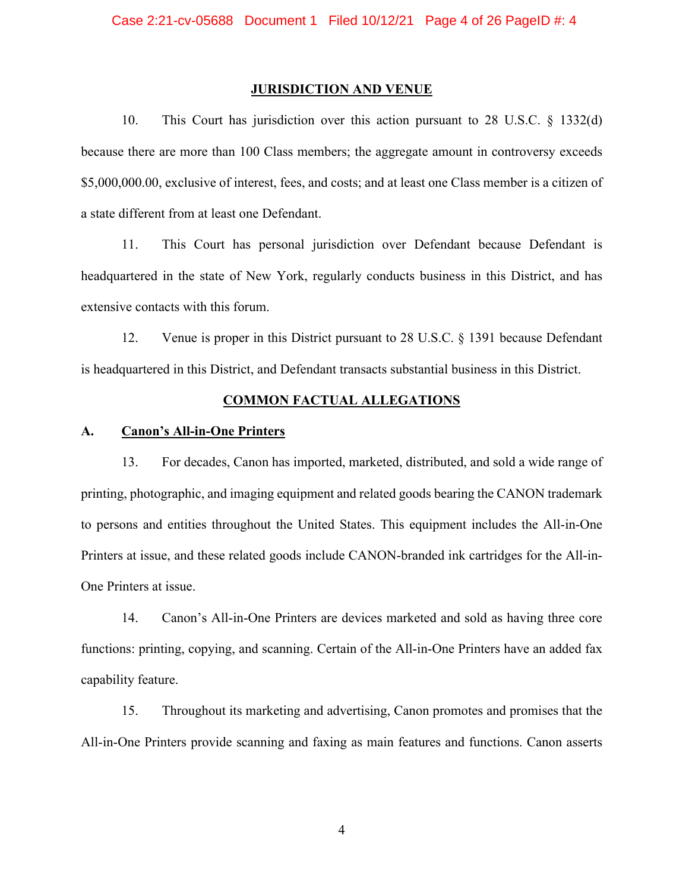#### **JURISDICTION AND VENUE**

10. This Court has jurisdiction over this action pursuant to 28 U.S.C. § 1332(d) because there are more than 100 Class members; the aggregate amount in controversy exceeds \$5,000,000.00, exclusive of interest, fees, and costs; and at least one Class member is a citizen of a state different from at least one Defendant.

11. This Court has personal jurisdiction over Defendant because Defendant is headquartered in the state of New York, regularly conducts business in this District, and has extensive contacts with this forum.

12. Venue is proper in this District pursuant to 28 U.S.C. § 1391 because Defendant is headquartered in this District, and Defendant transacts substantial business in this District.

### **COMMON FACTUAL ALLEGATIONS**

#### **A. Canon's All-in-One Printers**

13. For decades, Canon has imported, marketed, distributed, and sold a wide range of printing, photographic, and imaging equipment and related goods bearing the CANON trademark to persons and entities throughout the United States. This equipment includes the All-in-One Printers at issue, and these related goods include CANON-branded ink cartridges for the All-in-One Printers at issue.

14. Canon's All-in-One Printers are devices marketed and sold as having three core functions: printing, copying, and scanning. Certain of the All-in-One Printers have an added fax capability feature.

15. Throughout its marketing and advertising, Canon promotes and promises that the All-in-One Printers provide scanning and faxing as main features and functions. Canon asserts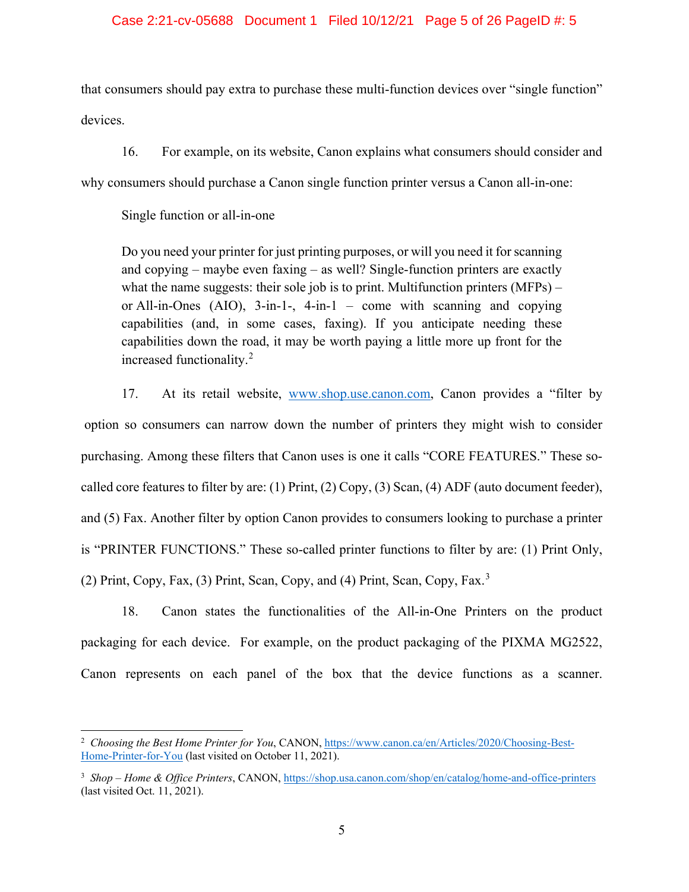#### Case 2:21-cv-05688 Document 1 Filed 10/12/21 Page 5 of 26 PageID #: 5

that consumers should pay extra to purchase these multi-function devices over "single function" devices.

16. For example, on its website, Canon explains what consumers should consider and why consumers should purchase a Canon single function printer versus a Canon all-in-one:

Single function or all-in-one

Do you need your printer for just printing purposes, or will you need it for scanning and copying – maybe even faxing – as well? Single-function printers are exactly what the name suggests: their sole job is to print. Multifunction printers (MFPs) – or All-in-Ones  $(AIO)$ ,  $3-in-1$ -,  $4-in-1$  – come with scanning and copying capabilities (and, in some cases, faxing). If you anticipate needing these capabilities down the road, it may be worth paying a little more up front for the increased functionality.[2](#page-4-0)

17. At its retail website, [www.shop.use.canon.com,](http://www.shop.use.canon.com/) Canon provides a "filter by option so consumers can narrow down the number of printers they might wish to consider purchasing. Among these filters that Canon uses is one it calls "CORE FEATURES." These socalled core features to filter by are: (1) Print, (2) Copy, (3) Scan, (4) ADF (auto document feeder), and (5) Fax. Another filter by option Canon provides to consumers looking to purchase a printer is "PRINTER FUNCTIONS." These so-called printer functions to filter by are: (1) Print Only, (2) Print, Copy, Fax, ([3](#page-4-1)) Print, Scan, Copy, and (4) Print, Scan, Copy, Fax. $3$ 

18. Canon states the functionalities of the All-in-One Printers on the product packaging for each device. For example, on the product packaging of the PIXMA MG2522, Canon represents on each panel of the box that the device functions as a scanner.

<span id="page-4-0"></span><sup>2</sup> *Choosing the Best Home Printer for You*, CANON[, https://www.canon.ca/en/Articles/2020/Choosing-Best-](https://www.canon.ca/en/Articles/2020/Choosing-Best-Home-Printer-for-You)[Home-Printer-for-You](https://www.canon.ca/en/Articles/2020/Choosing-Best-Home-Printer-for-You) (last visited on October 11, 2021).

<span id="page-4-1"></span><sup>3</sup> *Shop – Home & Office Printers*, CANON,<https://shop.usa.canon.com/shop/en/catalog/home-and-office-printers> (last visited Oct. 11, 2021).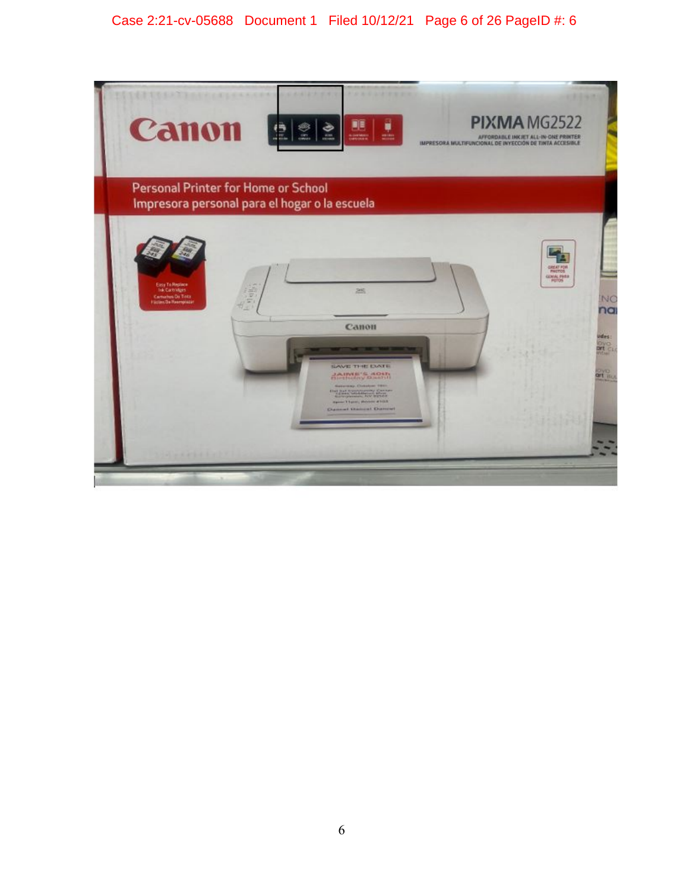# Case 2:21-cv-05688 Document 1 Filed 10/12/21 Page 6 of 26 PageID #: 6

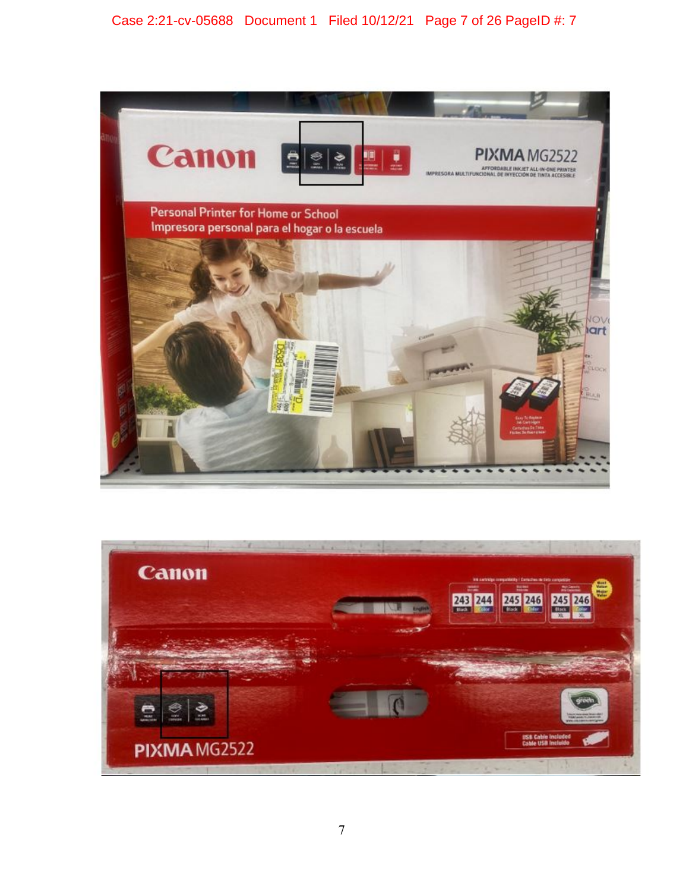Case 2:21-cv-05688 Document 1 Filed 10/12/21 Page 7 of 26 PageID #: 7



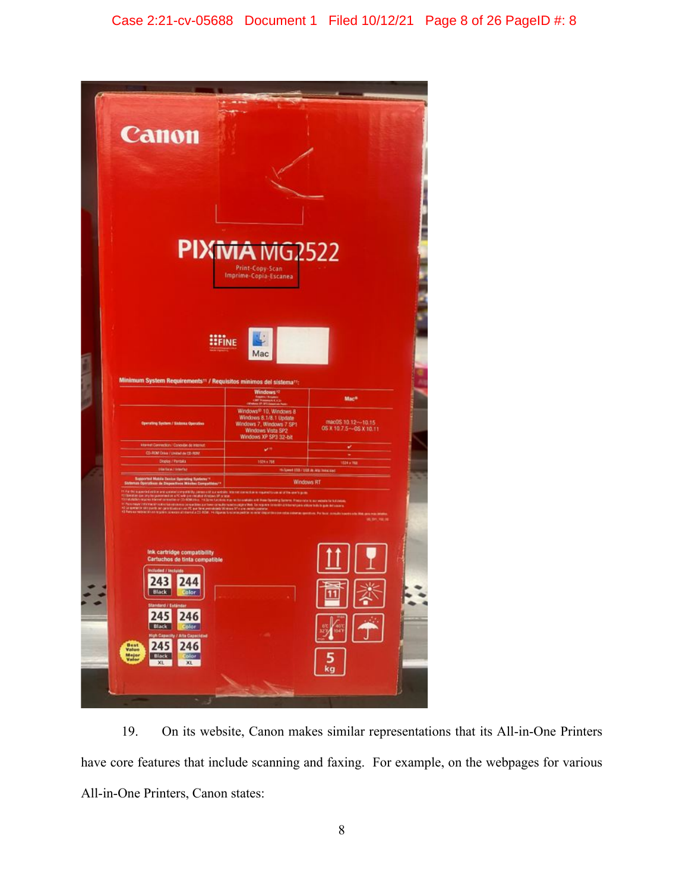

19. On its website, Canon makes similar representations that its All-in-One Printers have core features that include scanning and faxing. For example, on the webpages for various All-in-One Printers, Canon states: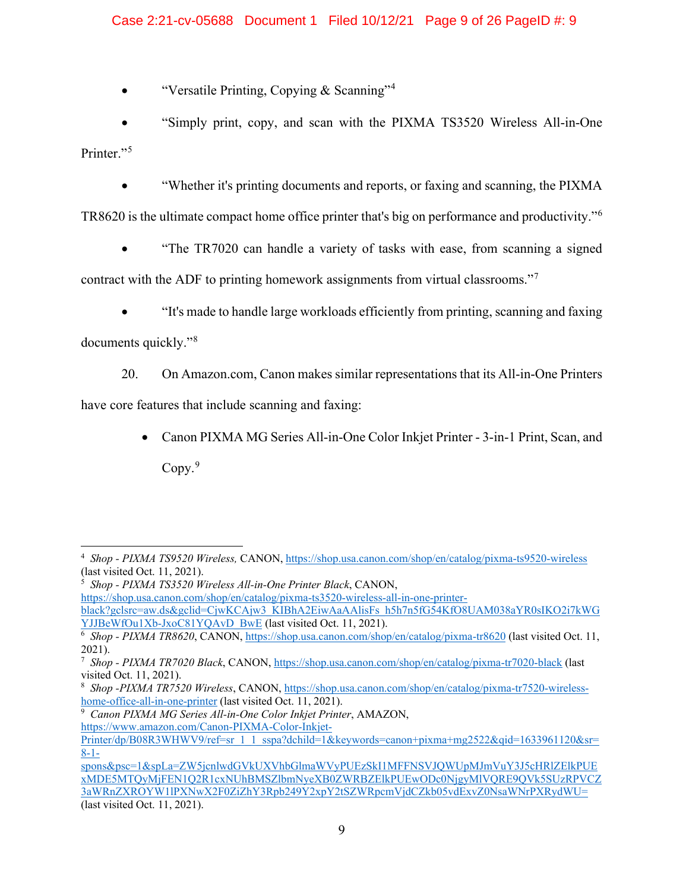• "Versatile Printing, Copying & Scanning"<sup>[4](#page-8-0)</sup>

• "Simply print, copy, and scan with the PIXMA TS3520 Wireless All-in-One Printer."<sup>[5](#page-8-1)</sup>

• "Whether it's printing documents and reports, or faxing and scanning, the PIXMA TR8620 is the ultimate compact home office printer that's big on performance and productivity."[6](#page-8-2)

• "The TR7020 can handle a variety of tasks with ease, from scanning a signed

contract with the ADF to printing homework assignments from virtual classrooms."[7](#page-8-3)

x "It's made to handle large workloads efficiently from printing, scanning and faxing

documents quickly."[8](#page-8-4)

20. On Amazon.com, Canon makes similar representations that its All-in-One Printers

have core features that include scanning and faxing:

x Canon PIXMA MG Series All-in-One Color Inkjet Printer - 3-in-1 Print, Scan, and

 $Copy.<sup>9</sup>$  $Copy.<sup>9</sup>$  $Copy.<sup>9</sup>$ 

[https://shop.usa.canon.com/shop/en/catalog/pixma-ts3520-wireless-all-in-one-printer-](https://shop.usa.canon.com/shop/en/catalog/pixma-ts3520-wireless-all-in-one-printer-black?gclsrc=aw.ds&gclid=CjwKCAjw3_KIBhA2EiwAaAAlisFs_h5h7n5fG54KfO8UAM038aYR0sIKO2i7kWGYJJBeWfOu1Xb-JxoC81YQAvD_BwE)

<span id="page-8-5"></span><sup>9</sup> *Canon PIXMA MG Series All-in-One Color Inkjet Printer*, AMAZON, [https://www.amazon.com/Canon-PIXMA-Color-Inkjet-](https://www.amazon.com/Canon-PIXMA-Color-Inkjet-Printer/dp/B08R3WHWV9/ref=sr_1_1_sspa?dchild=1&keywords=canon+pixma+mg2522&qid=1633961120&sr=8-1-%20spons&psc=1&spLa=ZW5jcnlwdGVkUXVhbGlmaWVyPUEzSkI1MFFNSVJQWUpMJmVuY3J5cHRlZElkPUExMDE5MTQyMjFEN1Q2R1cxNUhBMSZlbmNyeXB0ZWRBZElkPUEwODc0NjgyMlVQRE9QVk5SUzRPVCZ3aWRnZXROYW1lPXNwX2F0ZiZhY3Rpb249Y2xpY2tSZWRpcmVjdCZkb05vdExvZ0NsaWNrPXRydWU=)

<span id="page-8-0"></span><sup>4</sup> *Shop - PIXMA TS9520 Wireless,* CANON,<https://shop.usa.canon.com/shop/en/catalog/pixma-ts9520-wireless> (last visited Oct. 11, 2021).

<span id="page-8-1"></span><sup>5</sup> *Shop - PIXMA TS3520 Wireless All-in-One Printer Black*, CANON,

[black?gclsrc=aw.ds&gclid=CjwKCAjw3\\_KIBhA2EiwAaAAlisFs\\_h5h7n5fG54KfO8UAM038aYR0sIKO2i7kWG](https://shop.usa.canon.com/shop/en/catalog/pixma-ts3520-wireless-all-in-one-printer-black?gclsrc=aw.ds&gclid=CjwKCAjw3_KIBhA2EiwAaAAlisFs_h5h7n5fG54KfO8UAM038aYR0sIKO2i7kWGYJJBeWfOu1Xb-JxoC81YQAvD_BwE) [YJJBeWfOu1Xb-JxoC81YQAvD\\_BwE](https://shop.usa.canon.com/shop/en/catalog/pixma-ts3520-wireless-all-in-one-printer-black?gclsrc=aw.ds&gclid=CjwKCAjw3_KIBhA2EiwAaAAlisFs_h5h7n5fG54KfO8UAM038aYR0sIKO2i7kWGYJJBeWfOu1Xb-JxoC81YQAvD_BwE) (last visited Oct. 11, 2021).

<span id="page-8-2"></span><sup>6</sup> *Shop - PIXMA TR8620*, CANON,<https://shop.usa.canon.com/shop/en/catalog/pixma-tr8620> (last visited Oct. 11, 2021).

<span id="page-8-3"></span><sup>7</sup> *Shop - PIXMA TR7020 Black*, CANON[, https://shop.usa.canon.com/shop/en/catalog/pixma-tr7020-black](https://shop.usa.canon.com/shop/en/catalog/pixma-tr7020-black) (last visited Oct. 11, 2021).

<span id="page-8-4"></span><sup>8</sup> *Shop -PIXMA TR7520 Wireless*, CANON[, https://shop.usa.canon.com/shop/en/catalog/pixma-tr7520-wireless](https://shop.usa.canon.com/shop/en/catalog/pixma-tr7520-wireless-home-office-all-in-one-printer)[home-office-all-in-one-printer](https://shop.usa.canon.com/shop/en/catalog/pixma-tr7520-wireless-home-office-all-in-one-printer) (last visited Oct. 11, 2021).

[Printer/dp/B08R3WHWV9/ref=sr\\_1\\_1\\_sspa?dchild=1&keywords=canon+pixma+mg2522&qid=1633961120&sr=](https://www.amazon.com/Canon-PIXMA-Color-Inkjet-Printer/dp/B08R3WHWV9/ref=sr_1_1_sspa?dchild=1&keywords=canon+pixma+mg2522&qid=1633961120&sr=8-1-%20spons&psc=1&spLa=ZW5jcnlwdGVkUXVhbGlmaWVyPUEzSkI1MFFNSVJQWUpMJmVuY3J5cHRlZElkPUExMDE5MTQyMjFEN1Q2R1cxNUhBMSZlbmNyeXB0ZWRBZElkPUEwODc0NjgyMlVQRE9QVk5SUzRPVCZ3aWRnZXROYW1lPXNwX2F0ZiZhY3Rpb249Y2xpY2tSZWRpcmVjdCZkb05vdExvZ0NsaWNrPXRydWU=) [8-1-](https://www.amazon.com/Canon-PIXMA-Color-Inkjet-Printer/dp/B08R3WHWV9/ref=sr_1_1_sspa?dchild=1&keywords=canon+pixma+mg2522&qid=1633961120&sr=8-1-%20spons&psc=1&spLa=ZW5jcnlwdGVkUXVhbGlmaWVyPUEzSkI1MFFNSVJQWUpMJmVuY3J5cHRlZElkPUExMDE5MTQyMjFEN1Q2R1cxNUhBMSZlbmNyeXB0ZWRBZElkPUEwODc0NjgyMlVQRE9QVk5SUzRPVCZ3aWRnZXROYW1lPXNwX2F0ZiZhY3Rpb249Y2xpY2tSZWRpcmVjdCZkb05vdExvZ0NsaWNrPXRydWU=) 

[spons&psc=1&spLa=ZW5jcnlwdGVkUXVhbGlmaWVyPUEzSkI1MFFNSVJQWUpMJmVuY3J5cHRlZElkPUE](https://www.amazon.com/Canon-PIXMA-Color-Inkjet-Printer/dp/B08R3WHWV9/ref=sr_1_1_sspa?dchild=1&keywords=canon+pixma+mg2522&qid=1633961120&sr=8-1-%20spons&psc=1&spLa=ZW5jcnlwdGVkUXVhbGlmaWVyPUEzSkI1MFFNSVJQWUpMJmVuY3J5cHRlZElkPUExMDE5MTQyMjFEN1Q2R1cxNUhBMSZlbmNyeXB0ZWRBZElkPUEwODc0NjgyMlVQRE9QVk5SUzRPVCZ3aWRnZXROYW1lPXNwX2F0ZiZhY3Rpb249Y2xpY2tSZWRpcmVjdCZkb05vdExvZ0NsaWNrPXRydWU=) [xMDE5MTQyMjFEN1Q2R1cxNUhBMSZlbmNyeXB0ZWRBZElkPUEwODc0NjgyMlVQRE9QVk5SUzRPVCZ](https://www.amazon.com/Canon-PIXMA-Color-Inkjet-Printer/dp/B08R3WHWV9/ref=sr_1_1_sspa?dchild=1&keywords=canon+pixma+mg2522&qid=1633961120&sr=8-1-%20spons&psc=1&spLa=ZW5jcnlwdGVkUXVhbGlmaWVyPUEzSkI1MFFNSVJQWUpMJmVuY3J5cHRlZElkPUExMDE5MTQyMjFEN1Q2R1cxNUhBMSZlbmNyeXB0ZWRBZElkPUEwODc0NjgyMlVQRE9QVk5SUzRPVCZ3aWRnZXROYW1lPXNwX2F0ZiZhY3Rpb249Y2xpY2tSZWRpcmVjdCZkb05vdExvZ0NsaWNrPXRydWU=) [3aWRnZXROYW1lPXNwX2F0ZiZhY3Rpb249Y2xpY2tSZWRpcmVjdCZkb05vdExvZ0NsaWNrPXRydWU=](https://www.amazon.com/Canon-PIXMA-Color-Inkjet-Printer/dp/B08R3WHWV9/ref=sr_1_1_sspa?dchild=1&keywords=canon+pixma+mg2522&qid=1633961120&sr=8-1-%20spons&psc=1&spLa=ZW5jcnlwdGVkUXVhbGlmaWVyPUEzSkI1MFFNSVJQWUpMJmVuY3J5cHRlZElkPUExMDE5MTQyMjFEN1Q2R1cxNUhBMSZlbmNyeXB0ZWRBZElkPUEwODc0NjgyMlVQRE9QVk5SUzRPVCZ3aWRnZXROYW1lPXNwX2F0ZiZhY3Rpb249Y2xpY2tSZWRpcmVjdCZkb05vdExvZ0NsaWNrPXRydWU=) (last visited Oct. 11, 2021).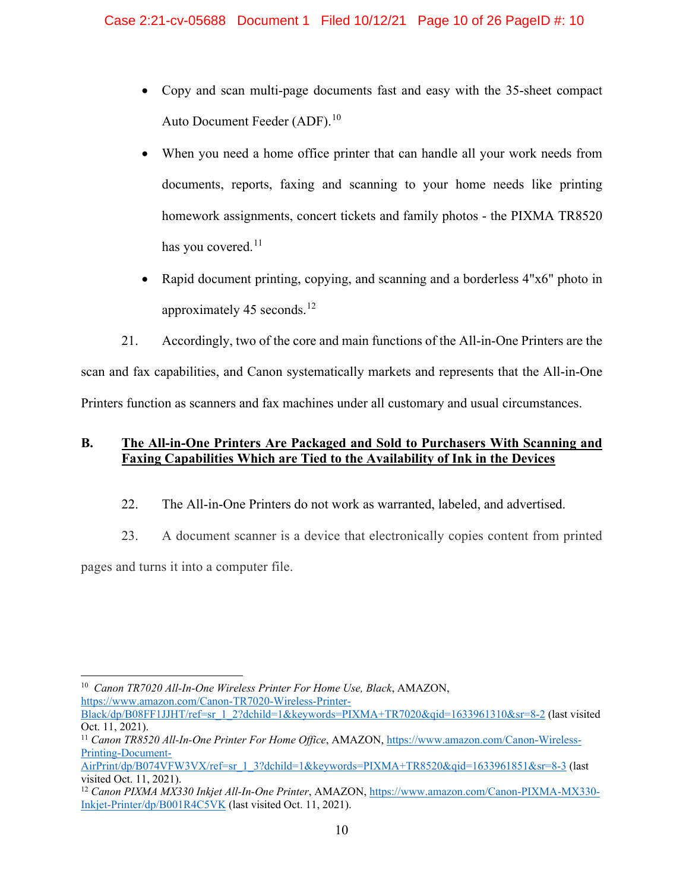- Copy and scan multi-page documents fast and easy with the 35-sheet compact Auto Document Feeder (ADF).<sup>[10](#page-9-0)</sup>
- When you need a home office printer that can handle all your work needs from documents, reports, faxing and scanning to your home needs like printing homework assignments, concert tickets and family photos - the PIXMA TR8520 has you covered.<sup>[11](#page-9-1)</sup>
- Rapid document printing, copying, and scanning and a borderless 4"x6" photo in approximately 45 seconds.<sup>[12](#page-9-2)</sup>

21. Accordingly, two of the core and main functions of the All-in-One Printers are the scan and fax capabilities, and Canon systematically markets and represents that the All-in-One Printers function as scanners and fax machines under all customary and usual circumstances.

# **B. The All-in-One Printers Are Packaged and Sold to Purchasers With Scanning and Faxing Capabilities Which are Tied to the Availability of Ink in the Devices**

22. The All-in-One Printers do not work as warranted, labeled, and advertised.

23. A document scanner is a device that electronically copies content from printed pages and turns it into a computer file.

<span id="page-9-0"></span><sup>10</sup> *Canon TR7020 All-In-One Wireless Printer For Home Use, Black*, AMAZON, [https://www.amazon.com/Canon-TR7020-Wireless-Printer-](https://www.amazon.com/Canon-TR7020-Wireless-Printer-Black/dp/B08FF1JJHT/ref=sr_1_2?dchild=1&keywords=PIXMA+TR7020&qid=1633961310&sr=8-2)

[Black/dp/B08FF1JJHT/ref=sr\\_1\\_2?dchild=1&keywords=PIXMA+TR7020&qid=1633961310&sr=8-2](https://www.amazon.com/Canon-TR7020-Wireless-Printer-Black/dp/B08FF1JJHT/ref=sr_1_2?dchild=1&keywords=PIXMA+TR7020&qid=1633961310&sr=8-2) (last visited Oct. 11, 2021).

<span id="page-9-1"></span><sup>11</sup> *Canon TR8520 All-In-One Printer For Home Office*, AMAZON[, https://www.amazon.com/Canon-Wireless-](https://www.amazon.com/Canon-Wireless-Printing-Document-AirPrint/dp/B074VFW3VX/ref=sr_1_3?dchild=1&keywords=PIXMA+TR8520&qid=1633961851&sr=8-3)[Printing-Document-](https://www.amazon.com/Canon-Wireless-Printing-Document-AirPrint/dp/B074VFW3VX/ref=sr_1_3?dchild=1&keywords=PIXMA+TR8520&qid=1633961851&sr=8-3)

[AirPrint/dp/B074VFW3VX/ref=sr\\_1\\_3?dchild=1&keywords=PIXMA+TR8520&qid=1633961851&sr=8-3](https://www.amazon.com/Canon-Wireless-Printing-Document-AirPrint/dp/B074VFW3VX/ref=sr_1_3?dchild=1&keywords=PIXMA+TR8520&qid=1633961851&sr=8-3) (last visited Oct. 11, 2021).

<span id="page-9-2"></span><sup>12</sup> *Canon PIXMA MX330 Inkjet All-In-One Printer*, AMAZON, [https://www.amazon.com/Canon-PIXMA-MX330-](https://www.amazon.com/Canon-PIXMA-MX330-Inkjet-Printer/dp/B001R4C5VK) [Inkjet-Printer/dp/B001R4C5VK](https://www.amazon.com/Canon-PIXMA-MX330-Inkjet-Printer/dp/B001R4C5VK) (last visited Oct. 11, 2021).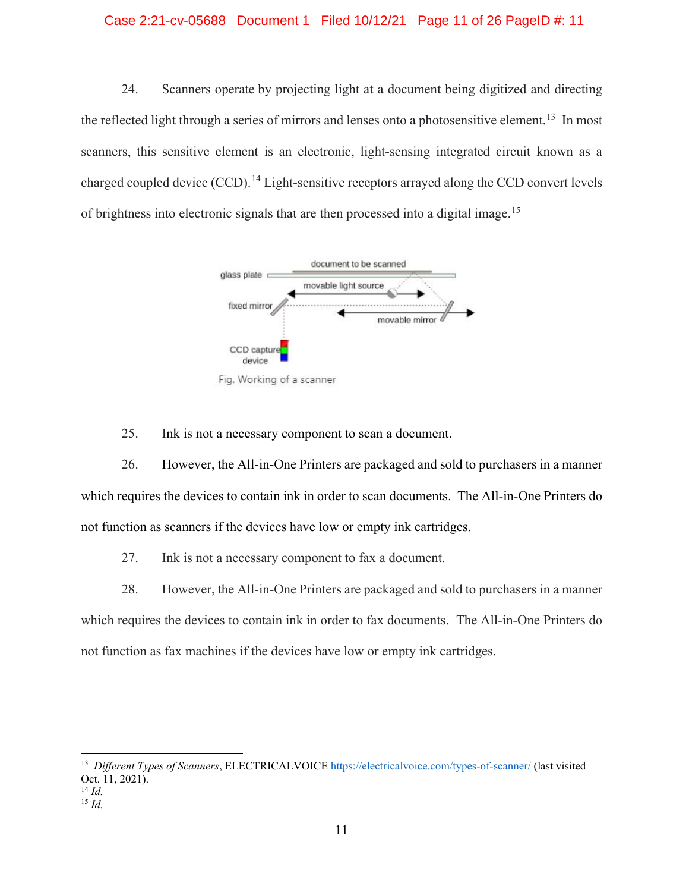#### Case 2:21-cv-05688 Document 1 Filed 10/12/21 Page 11 of 26 PageID #: 11

24. Scanners operate by projecting light at a document being digitized and directing the reflected light through a series of mirrors and lenses onto a photosensitive element.<sup>13</sup> In most scanners, this sensitive element is an electronic, light-sensing integrated circuit known as a charged coupled device (CCD).<sup>[14](#page-10-1)</sup> Light-sensitive receptors arrayed along the CCD convert levels of brightness into electronic signals that are then processed into a digital image.[15](#page-10-2)



25. Ink is not a necessary component to scan a document.

26. However, the All-in-One Printers are packaged and sold to purchasers in a manner which requires the devices to contain ink in order to scan documents. The All-in-One Printers do not function as scanners if the devices have low or empty ink cartridges.

27. Ink is not a necessary component to fax a document.

28. However, the All-in-One Printers are packaged and sold to purchasers in a manner which requires the devices to contain ink in order to fax documents. The All-in-One Printers do not function as fax machines if the devices have low or empty ink cartridges.

<span id="page-10-0"></span><sup>13</sup> *Different Types of Scanners*, ELECTRICALVOICE<https://electricalvoice.com/types-of-scanner/> (last visited Oct. 11, 2021). <sup>14</sup> *Id.*

<span id="page-10-2"></span><span id="page-10-1"></span><sup>15</sup> *Id.*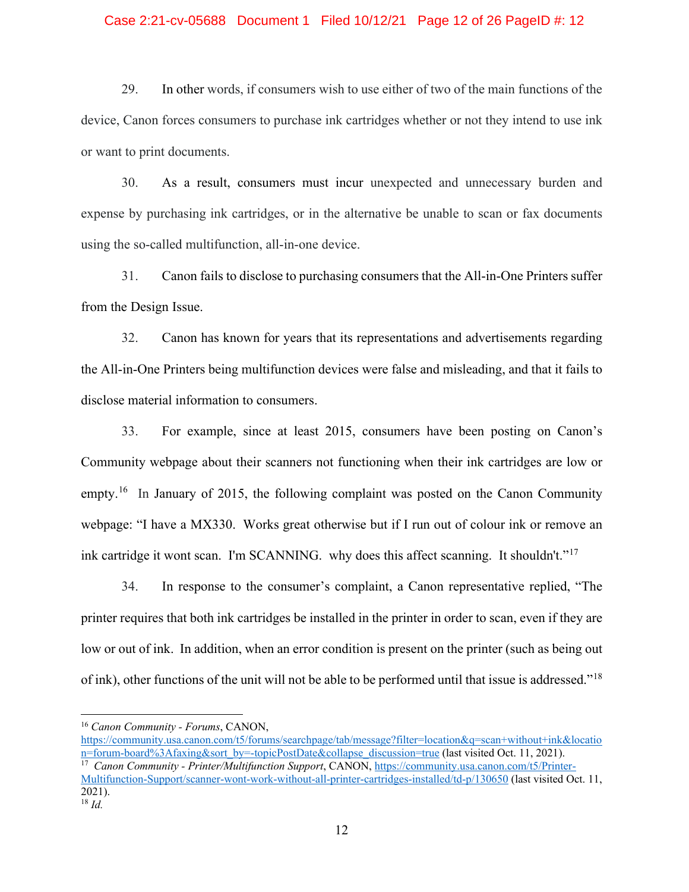#### Case 2:21-cv-05688 Document 1 Filed 10/12/21 Page 12 of 26 PageID #: 12

29. In other words, if consumers wish to use either of two of the main functions of the device, Canon forces consumers to purchase ink cartridges whether or not they intend to use ink or want to print documents.

30. As a result, consumers must incur unexpected and unnecessary burden and expense by purchasing ink cartridges, or in the alternative be unable to scan or fax documents using the so-called multifunction, all-in-one device.

31. Canon fails to disclose to purchasing consumers that the All-in-One Printers suffer from the Design Issue.

32. Canon has known for years that its representations and advertisements regarding the All-in-One Printers being multifunction devices were false and misleading, and that it fails to disclose material information to consumers.

33. For example, since at least 2015, consumers have been posting on Canon's Community webpage about their scanners not functioning when their ink cartridges are low or empty.<sup>16</sup> In January of 2015, the following complaint was posted on the Canon Community webpage: "I have a MX330. Works great otherwise but if I run out of colour ink or remove an ink cartridge it wont scan. I'm SCANNING. why does this affect scanning. It shouldn't."<sup>[17](#page-11-1)</sup>

34. In response to the consumer's complaint, a Canon representative replied, "The printer requires that both ink cartridges be installed in the printer in order to scan, even if they are low or out of ink. In addition, when an error condition is present on the printer (such as being out of ink), other functions of the unit will not be able to be performed until that issue is addressed."[18](#page-11-2)

[https://community.usa.canon.com/t5/forums/searchpage/tab/message?filter=location&q=scan+without+ink&locatio](https://community.usa.canon.com/t5/forums/searchpage/tab/message?filter=location&q=scan+without+ink&location=forum-board:faxing&sort_by=-topicPostDate&collapse_discussion=true) [n=forum-board%3Afaxing&sort\\_by=-topicPostDate&collapse\\_discussion=true](https://community.usa.canon.com/t5/forums/searchpage/tab/message?filter=location&q=scan+without+ink&location=forum-board:faxing&sort_by=-topicPostDate&collapse_discussion=true) (last visited Oct. 11, 2021).

<span id="page-11-0"></span><sup>16</sup> *Canon Community - Forums*, CANON,

<span id="page-11-1"></span><sup>17</sup> *Canon Community - Printer/Multifunction Support*, CANON, [https://community.usa.canon.com/t5/Printer-](https://community.usa.canon.com/t5/Printer-Multifunction-Support/scanner-wont-work-without-all-printer-cartridges-installed/td-p/130650)[Multifunction-Support/scanner-wont-work-without-all-printer-cartridges-installed/td-p/130650](https://community.usa.canon.com/t5/Printer-Multifunction-Support/scanner-wont-work-without-all-printer-cartridges-installed/td-p/130650) (last visited Oct. 11, 2021).

<span id="page-11-2"></span><sup>18</sup> *Id.*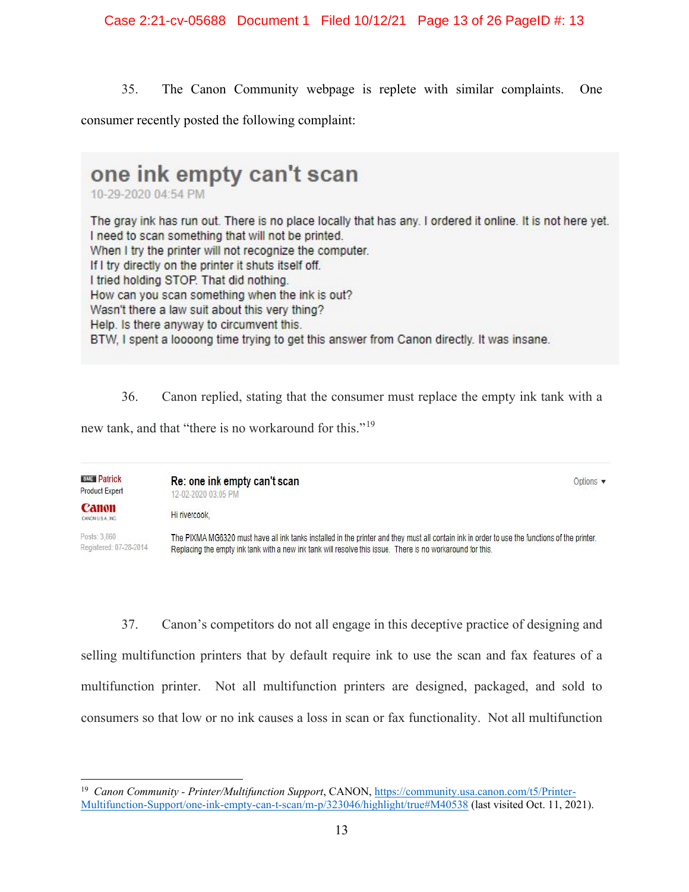35. The Canon Community webpage is replete with similar complaints. One

consumer recently posted the following complaint:



36. Canon replied, stating that the consumer must replace the empty ink tank with a

new tank, and that "there is no workaround for this."<sup>[19](#page-12-0)</sup>

| <b>SME</b> Patrick<br><b>Product Expert</b> | Re: one ink empty can't scan<br>12-02-2020 03:05 PM                                                                                                                                                                                                         | Options $\mathbf{\mathbf{v}}$ |
|---------------------------------------------|-------------------------------------------------------------------------------------------------------------------------------------------------------------------------------------------------------------------------------------------------------------|-------------------------------|
| <b>Canon</b><br>CANON U.S.A., INC.          | Hi rivercook.                                                                                                                                                                                                                                               |                               |
| Posts: 3,860<br>Registered: 07-28-2014      | The PIXMA MG6320 must have all ink tanks installed in the printer and they must all contain ink in order to use the functions of the printer.<br>Replacing the empty ink tank with a new ink tank will resolve this issue. There is no workaround for this. |                               |

37. Canon's competitors do not all engage in this deceptive practice of designing and selling multifunction printers that by default require ink to use the scan and fax features of a multifunction printer. Not all multifunction printers are designed, packaged, and sold to consumers so that low or no ink causes a loss in scan or fax functionality. Not all multifunction

<span id="page-12-0"></span><sup>&</sup>lt;sup>19</sup> Canon Community - Printer/Multifunction Support, CANON, [https://community.usa.canon.com/t5/Printer-](https://community.usa.canon.com/t5/Printer-Multifunction-Support/one-ink-empty-can-t-scan/m-p/323046/highlight/true%23M40538)[Multifunction-Support/one-ink-empty-can-t-scan/m-p/323046/highlight/true#M40538](https://community.usa.canon.com/t5/Printer-Multifunction-Support/one-ink-empty-can-t-scan/m-p/323046/highlight/true%23M40538) (last visited Oct. 11, 2021).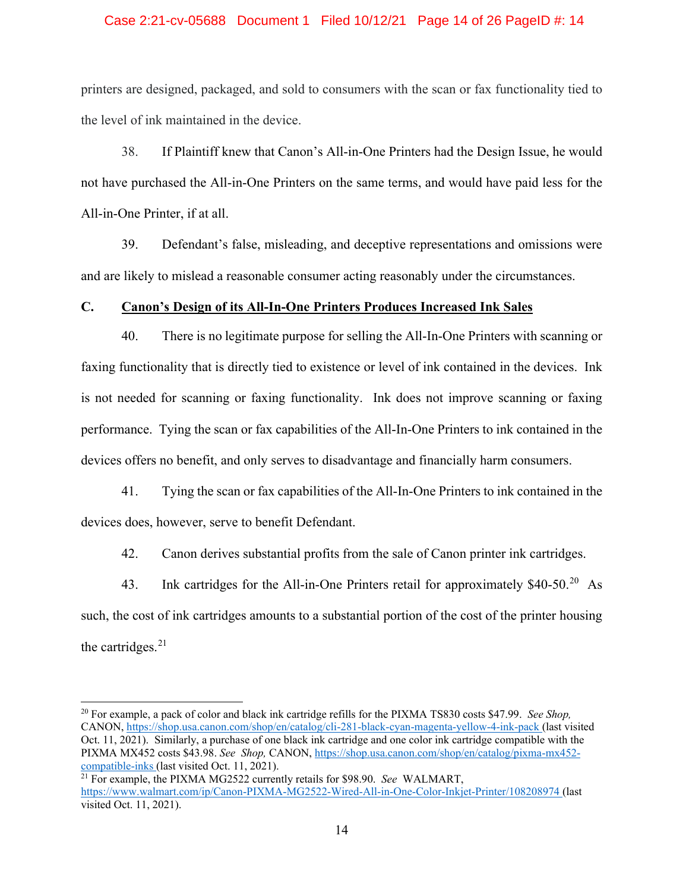#### Case 2:21-cv-05688 Document 1 Filed 10/12/21 Page 14 of 26 PageID #: 14

printers are designed, packaged, and sold to consumers with the scan or fax functionality tied to the level of ink maintained in the device.

38. If Plaintiff knew that Canon's All-in-One Printers had the Design Issue, he would not have purchased the All-in-One Printers on the same terms, and would have paid less for the All-in-One Printer, if at all.

39. Defendant's false, misleading, and deceptive representations and omissions were and are likely to mislead a reasonable consumer acting reasonably under the circumstances.

### **C. Canon's Design of its All-In-One Printers Produces Increased Ink Sales**

40. There is no legitimate purpose for selling the All-In-One Printers with scanning or faxing functionality that is directly tied to existence or level of ink contained in the devices. Ink is not needed for scanning or faxing functionality. Ink does not improve scanning or faxing performance. Tying the scan or fax capabilities of the All-In-One Printers to ink contained in the devices offers no benefit, and only serves to disadvantage and financially harm consumers.

41. Tying the scan or fax capabilities of the All-In-One Printers to ink contained in the devices does, however, serve to benefit Defendant.

42. Canon derives substantial profits from the sale of Canon printer ink cartridges.

43. Ink cartridges for the All-in-One Printers retail for approximately \$40-50.<sup>20</sup> As such, the cost of ink cartridges amounts to a substantial portion of the cost of the printer housing the cartridges. $21$ 

<span id="page-13-0"></span><sup>20</sup> For example, a pack of color and black ink cartridge refills for the PIXMA TS830 costs \$47.99. *See Shop,*  CANON[, https://shop.usa.canon.com/shop/en/catalog/cli-281-black-cyan-magenta-yellow-4-ink-pack](https://shop.usa.canon.com/shop/en/catalog/cli-281-black-cyan-magenta-yellow-4-ink-pack) (last visited Oct. 11, 2021). Similarly, a purchase of one black ink cartridge and one color ink cartridge compatible with the PIXMA MX452 costs \$43.98. *See Shop,* CANON, [https://shop.usa.canon.com/shop/en/catalog/pixma-mx452](https://shop.usa.canon.com/shop/en/catalog/pixma-mx452-compatible-inks) [compatible-inks](https://shop.usa.canon.com/shop/en/catalog/pixma-mx452-compatible-inks) (last visited Oct. 11, 2021). <sup>21</sup> For example, the PIXMA MG2522 currently retails for \$98.90. *See*  WALMART,

<span id="page-13-1"></span><https://www.walmart.com/ip/Canon-PIXMA-MG2522-Wired-All-in-One-Color-Inkjet-Printer/108208974> (last visited Oct. 11, 2021).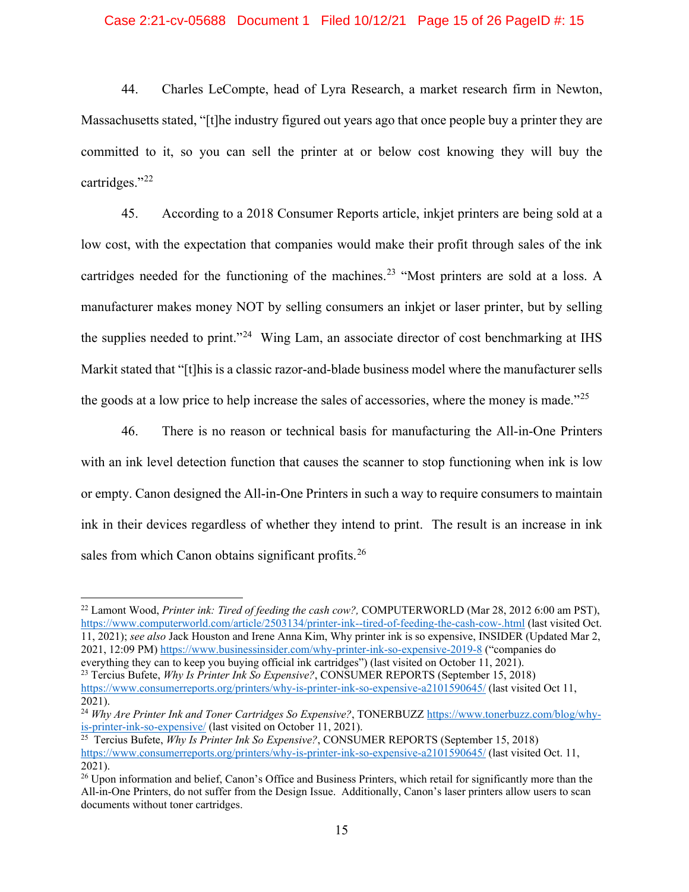#### Case 2:21-cv-05688 Document 1 Filed 10/12/21 Page 15 of 26 PageID #: 15

44. Charles LeCompte, head of Lyra Research, a market research firm in Newton, Massachusetts stated, "[t]he industry figured out years ago that once people buy a printer they are committed to it, so you can sell the printer at or below cost knowing they will buy the cartridges."<sup>[22](#page-14-0)</sup>

45. According to a 2018 Consumer Reports article, inkjet printers are being sold at a low cost, with the expectation that companies would make their profit through sales of the ink cartridges needed for the functioning of the machines.<sup>23</sup> "Most printers are sold at a loss. A manufacturer makes money NOT by selling consumers an inkjet or laser printer, but by selling the supplies needed to print."<sup>[24](#page-14-2)</sup> Wing Lam, an associate director of cost benchmarking at IHS Markit stated that "[t]his is a classic razor-and-blade business model where the manufacturer sells the goods at a low price to help increase the sales of accessories, where the money is made."<sup>25</sup>

46. There is no reason or technical basis for manufacturing the All-in-One Printers with an ink level detection function that causes the scanner to stop functioning when ink is low or empty. Canon designed the All-in-One Printers in such a way to require consumers to maintain ink in their devices regardless of whether they intend to print. The result is an increase in ink sales from which Canon obtains significant profits.<sup>26</sup>

2021, 12:09 PM) <https://www.businessinsider.com/why-printer-ink-so-expensive-2019-8> ("companies do everything they can to keep you buying official ink cartridges") (last visited on October 11, 2021).

<span id="page-14-0"></span><sup>22</sup> Lamont Wood, *Printer ink: Tired of feeding the cash cow?,* COMPUTERWORLD (Mar 28, 2012 6:00 am PST), <https://www.computerworld.com/article/2503134/printer-ink--tired-of-feeding-the-cash-cow-.html> (last visited Oct. 11, 2021); *see also* Jack Houston and Irene Anna Kim, Why printer ink is so expensive, INSIDER (Updated Mar 2,

<span id="page-14-1"></span><sup>23</sup> Tercius Bufete, *Why Is Printer Ink So Expensive?*, CONSUMER REPORTS (September 15, 2018) <https://www.consumerreports.org/printers/why-is-printer-ink-so-expensive-a2101590645/> (last visited Oct 11, 2021).

<span id="page-14-2"></span><sup>24</sup> *Why Are Printer Ink and Toner Cartridges So Expensive?*, TONERBUZZ [https://www.tonerbuzz.com/blog/why](https://www.tonerbuzz.com/blog/why-is-printer-ink-so-expensive/)[is-printer-ink-so-expensive/](https://www.tonerbuzz.com/blog/why-is-printer-ink-so-expensive/) (last visited on October 11, 2021).

<span id="page-14-3"></span><sup>25</sup> Tercius Bufete, *Why Is Printer Ink So Expensive?*, CONSUMER REPORTS (September 15, 2018) <https://www.consumerreports.org/printers/why-is-printer-ink-so-expensive-a2101590645/> (last visited Oct. 11, 2021).

<span id="page-14-4"></span><sup>&</sup>lt;sup>26</sup> Upon information and belief, Canon's Office and Business Printers, which retail for significantly more than the All-in-One Printers, do not suffer from the Design Issue. Additionally, Canon's laser printers allow users to scan documents without toner cartridges.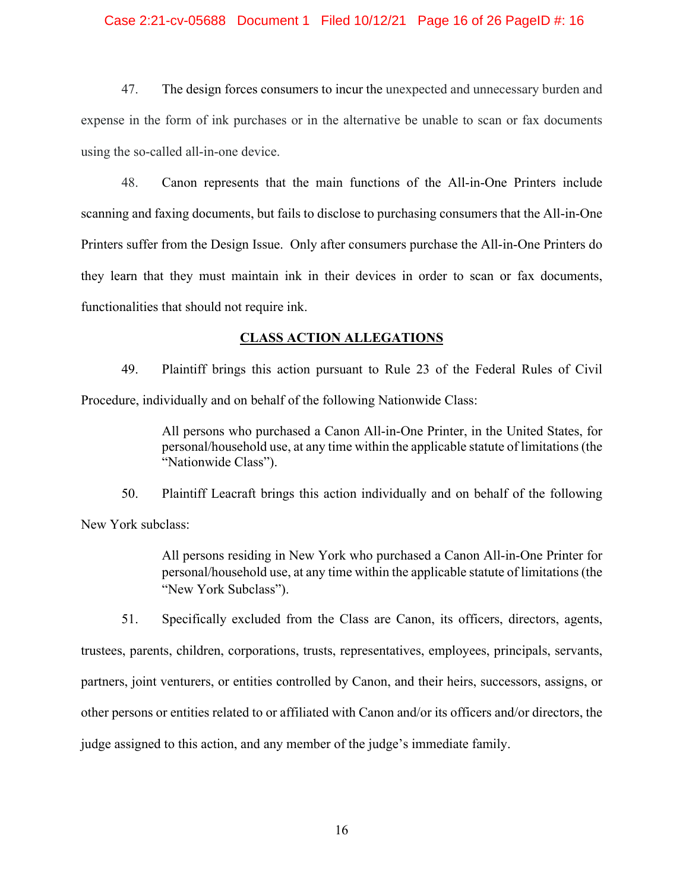#### Case 2:21-cv-05688 Document 1 Filed 10/12/21 Page 16 of 26 PageID #: 16

47. The design forces consumers to incur the unexpected and unnecessary burden and expense in the form of ink purchases or in the alternative be unable to scan or fax documents using the so-called all-in-one device.

48. Canon represents that the main functions of the All-in-One Printers include scanning and faxing documents, but fails to disclose to purchasing consumers that the All-in-One Printers suffer from the Design Issue. Only after consumers purchase the All-in-One Printers do they learn that they must maintain ink in their devices in order to scan or fax documents, functionalities that should not require ink.

#### **CLASS ACTION ALLEGATIONS**

49. Plaintiff brings this action pursuant to Rule 23 of the Federal Rules of Civil Procedure, individually and on behalf of the following Nationwide Class:

> All persons who purchased a Canon All-in-One Printer, in the United States, for personal/household use, at any time within the applicable statute of limitations (the "Nationwide Class").

50. Plaintiff Leacraft brings this action individually and on behalf of the following New York subclass:

> All persons residing in New York who purchased a Canon All-in-One Printer for personal/household use, at any time within the applicable statute of limitations (the "New York Subclass").

51. Specifically excluded from the Class are Canon, its officers, directors, agents, trustees, parents, children, corporations, trusts, representatives, employees, principals, servants, partners, joint venturers, or entities controlled by Canon, and their heirs, successors, assigns, or other persons or entities related to or affiliated with Canon and/or its officers and/or directors, the judge assigned to this action, and any member of the judge's immediate family.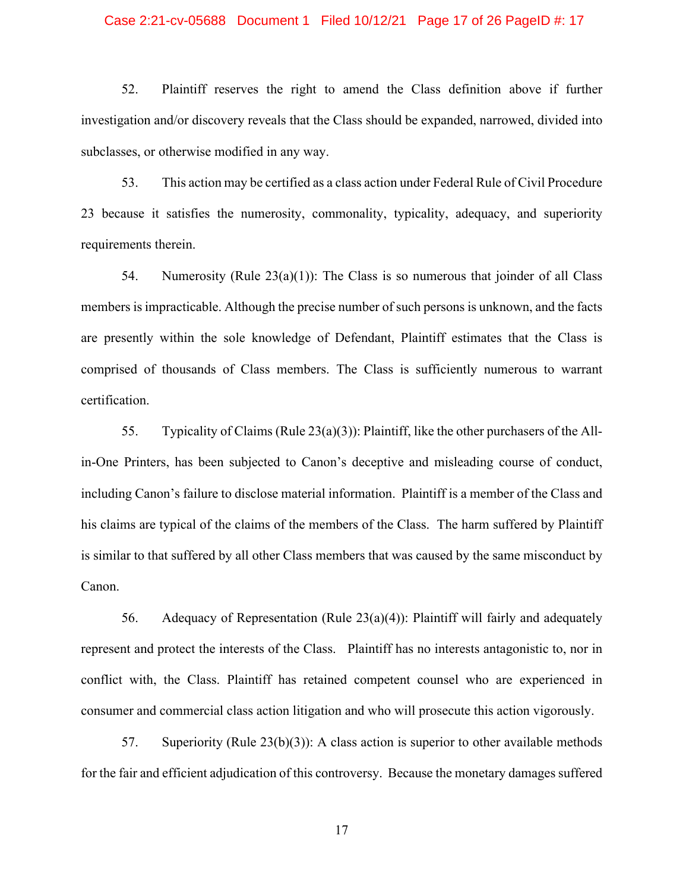#### Case 2:21-cv-05688 Document 1 Filed 10/12/21 Page 17 of 26 PageID #: 17

52. Plaintiff reserves the right to amend the Class definition above if further investigation and/or discovery reveals that the Class should be expanded, narrowed, divided into subclasses, or otherwise modified in any way.

53. This action may be certified as a class action under Federal Rule of Civil Procedure 23 because it satisfies the numerosity, commonality, typicality, adequacy, and superiority requirements therein.

54. Numerosity (Rule  $23(a)(1)$ ): The Class is so numerous that joinder of all Class members is impracticable. Although the precise number of such persons is unknown, and the facts are presently within the sole knowledge of Defendant, Plaintiff estimates that the Class is comprised of thousands of Class members. The Class is sufficiently numerous to warrant certification.

55. Typicality of Claims (Rule 23(a)(3)): Plaintiff, like the other purchasers of the Allin-One Printers, has been subjected to Canon's deceptive and misleading course of conduct, including Canon's failure to disclose material information. Plaintiff is a member of the Class and his claims are typical of the claims of the members of the Class. The harm suffered by Plaintiff is similar to that suffered by all other Class members that was caused by the same misconduct by Canon.

56. Adequacy of Representation (Rule  $23(a)(4)$ ): Plaintiff will fairly and adequately represent and protect the interests of the Class. Plaintiff has no interests antagonistic to, nor in conflict with, the Class. Plaintiff has retained competent counsel who are experienced in consumer and commercial class action litigation and who will prosecute this action vigorously.

57. Superiority (Rule  $23(b)(3)$ ): A class action is superior to other available methods for the fair and efficient adjudication of this controversy. Because the monetary damages suffered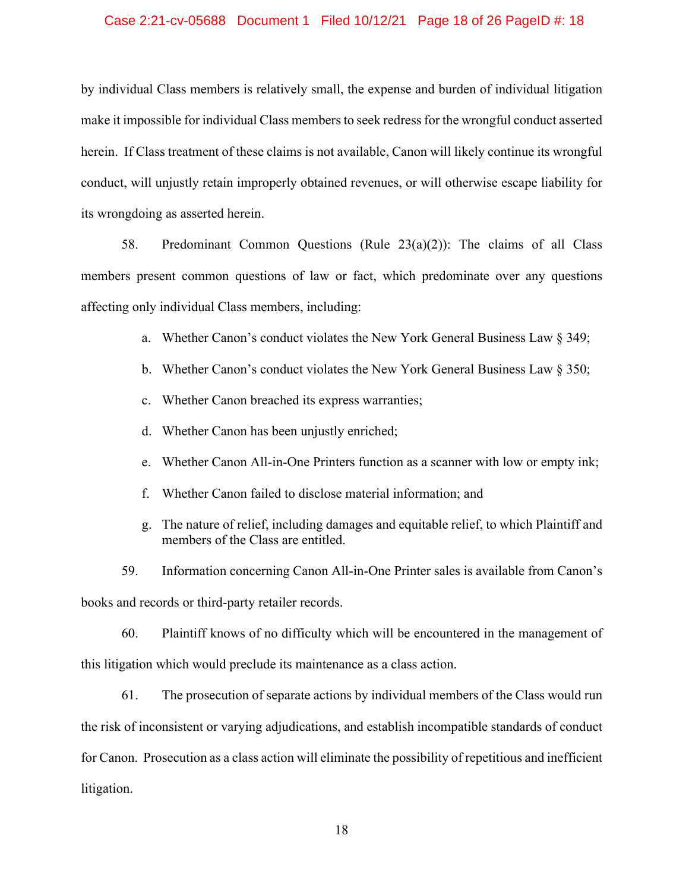#### Case 2:21-cv-05688 Document 1 Filed 10/12/21 Page 18 of 26 PageID #: 18

by individual Class members is relatively small, the expense and burden of individual litigation make it impossible for individual Class members to seek redress for the wrongful conduct asserted herein. If Class treatment of these claims is not available, Canon will likely continue its wrongful conduct, will unjustly retain improperly obtained revenues, or will otherwise escape liability for its wrongdoing as asserted herein.

58. Predominant Common Questions (Rule  $23(a)(2)$ ): The claims of all Class members present common questions of law or fact, which predominate over any questions affecting only individual Class members, including:

- a. Whether Canon's conduct violates the New York General Business Law § 349;
- b. Whether Canon's conduct violates the New York General Business Law § 350;
- c. Whether Canon breached its express warranties;
- d. Whether Canon has been unjustly enriched;
- e. Whether Canon All-in-One Printers function as a scanner with low or empty ink;
- f. Whether Canon failed to disclose material information; and
- g. The nature of relief, including damages and equitable relief, to which Plaintiff and members of the Class are entitled.

59. Information concerning Canon All-in-One Printer sales is available from Canon's books and records or third-party retailer records.

60. Plaintiff knows of no difficulty which will be encountered in the management of this litigation which would preclude its maintenance as a class action.

61. The prosecution of separate actions by individual members of the Class would run the risk of inconsistent or varying adjudications, and establish incompatible standards of conduct for Canon. Prosecution as a class action will eliminate the possibility of repetitious and inefficient litigation.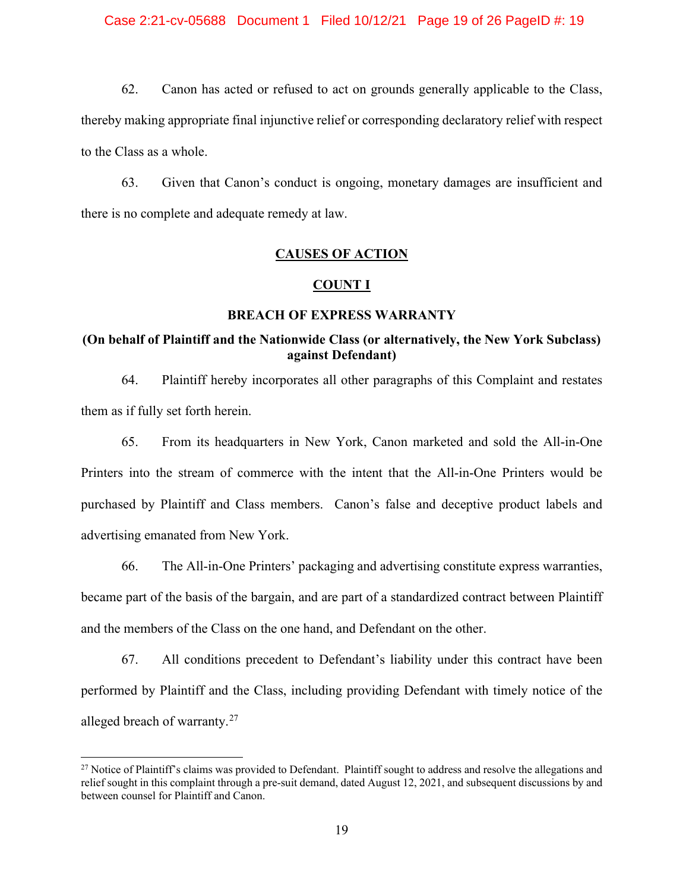62. Canon has acted or refused to act on grounds generally applicable to the Class, thereby making appropriate final injunctive relief or corresponding declaratory relief with respect to the Class as a whole.

63. Given that Canon's conduct is ongoing, monetary damages are insufficient and there is no complete and adequate remedy at law.

# **CAUSES OF ACTION**

#### **COUNT I**

#### **BREACH OF EXPRESS WARRANTY**

## **(On behalf of Plaintiff and the Nationwide Class (or alternatively, the New York Subclass) against Defendant)**

64. Plaintiff hereby incorporates all other paragraphs of this Complaint and restates them as if fully set forth herein.

65. From its headquarters in New York, Canon marketed and sold the All-in-One Printers into the stream of commerce with the intent that the All-in-One Printers would be purchased by Plaintiff and Class members. Canon's false and deceptive product labels and advertising emanated from New York.

66. The All-in-One Printers' packaging and advertising constitute express warranties,

became part of the basis of the bargain, and are part of a standardized contract between Plaintiff and the members of the Class on the one hand, and Defendant on the other.

67. All conditions precedent to Defendant's liability under this contract have been performed by Plaintiff and the Class, including providing Defendant with timely notice of the alleged breach of warranty.<sup>[27](#page-18-0)</sup>

<span id="page-18-0"></span><sup>&</sup>lt;sup>27</sup> Notice of Plaintiff's claims was provided to Defendant. Plaintiff sought to address and resolve the allegations and relief sought in this complaint through a pre-suit demand, dated August 12, 2021, and subsequent discussions by and between counsel for Plaintiff and Canon.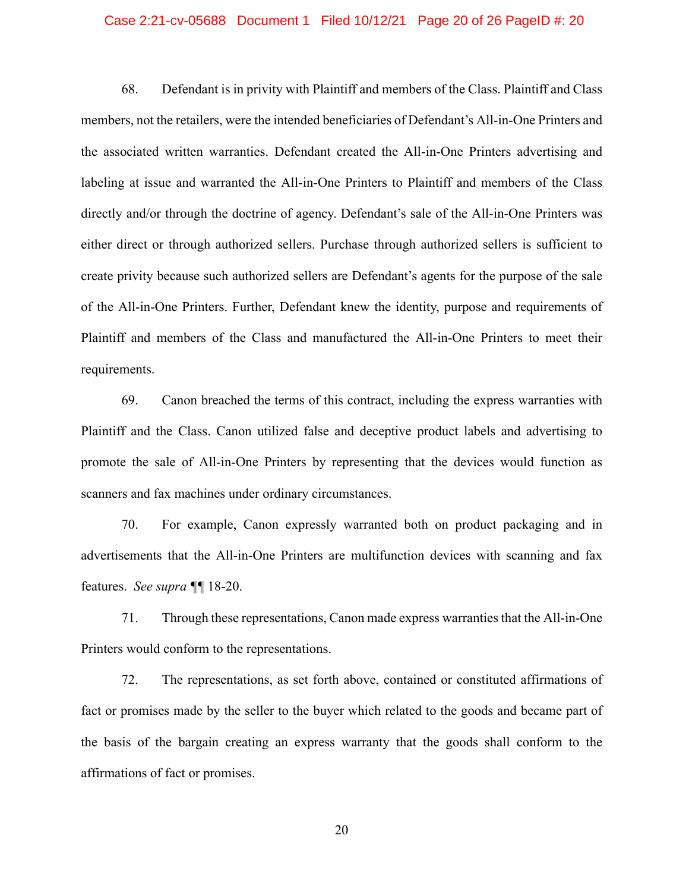#### Case 2:21-cv-05688 Document 1 Filed 10/12/21 Page 20 of 26 PageID #: 20

68. Defendant is in privity with Plaintiff and members of the Class. Plaintiff and Class members, not the retailers, were the intended beneficiaries of Defendant's All-in-One Printers and the associated written warranties. Defendant created the All-in-One Printers advertising and labeling at issue and warranted the All-in-One Printers to Plaintiff and members of the Class directly and/or through the doctrine of agency. Defendant's sale of the All-in-One Printers was either direct or through authorized sellers. Purchase through authorized sellers is sufficient to create privity because such authorized sellers are Defendant's agents for the purpose of the sale of the All-in-One Printers. Further, Defendant knew the identity, purpose and requirements of Plaintiff and members of the Class and manufactured the All-in-One Printers to meet their requirements.

69. Canon breached the terms of this contract, including the express warranties with Plaintiff and the Class. Canon utilized false and deceptive product labels and advertising to promote the sale of All-in-One Printers by representing that the devices would function as scanners and fax machines under ordinary circumstances.

70. For example, Canon expressly warranted both on product packaging and in advertisements that the All-in-One Printers are multifunction devices with scanning and fax features. *See supra ¶¶* 18-20.

71. Through these representations, Canon made express warranties that the All-in-One Printers would conform to the representations.

72. The representations, as set forth above, contained or constituted affirmations of fact or promises made by the seller to the buyer which related to the goods and became part of the basis of the bargain creating an express warranty that the goods shall conform to the affirmations of fact or promises.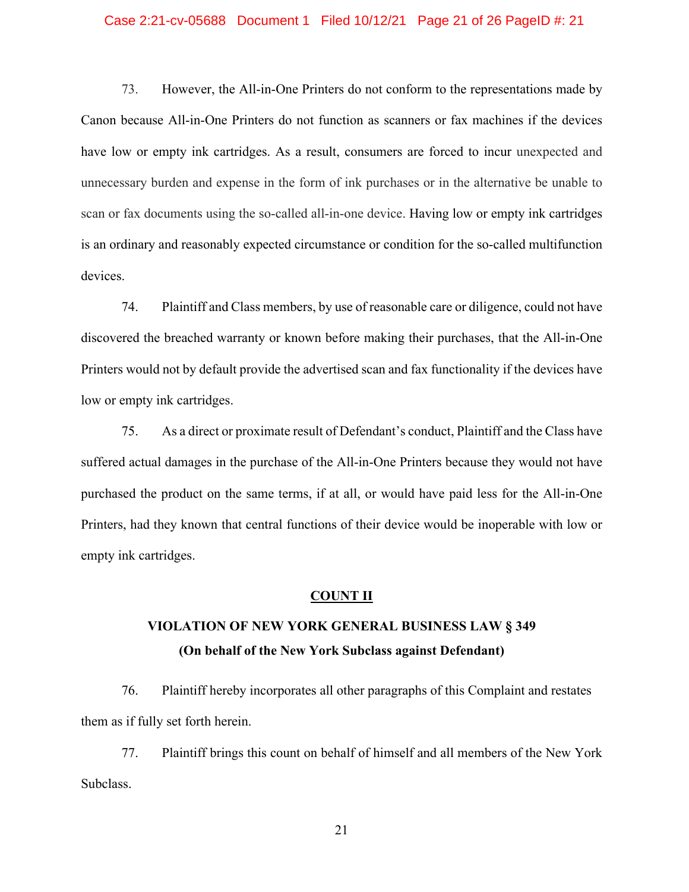#### Case 2:21-cv-05688 Document 1 Filed 10/12/21 Page 21 of 26 PageID #: 21

73. However, the All-in-One Printers do not conform to the representations made by Canon because All-in-One Printers do not function as scanners or fax machines if the devices have low or empty ink cartridges. As a result, consumers are forced to incur unexpected and unnecessary burden and expense in the form of ink purchases or in the alternative be unable to scan or fax documents using the so-called all-in-one device. Having low or empty ink cartridges is an ordinary and reasonably expected circumstance or condition for the so-called multifunction devices.

74. Plaintiff and Class members, by use of reasonable care or diligence, could not have discovered the breached warranty or known before making their purchases, that the All-in-One Printers would not by default provide the advertised scan and fax functionality if the devices have low or empty ink cartridges.

75. As a direct or proximate result of Defendant's conduct, Plaintiff and the Class have suffered actual damages in the purchase of the All-in-One Printers because they would not have purchased the product on the same terms, if at all, or would have paid less for the All-in-One Printers, had they known that central functions of their device would be inoperable with low or empty ink cartridges.

#### **COUNT II**

# **VIOLATION OF NEW YORK GENERAL BUSINESS LAW § 349 (On behalf of the New York Subclass against Defendant)**

76. Plaintiff hereby incorporates all other paragraphs of this Complaint and restates them as if fully set forth herein.

77. Plaintiff brings this count on behalf of himself and all members of the New York Subclass.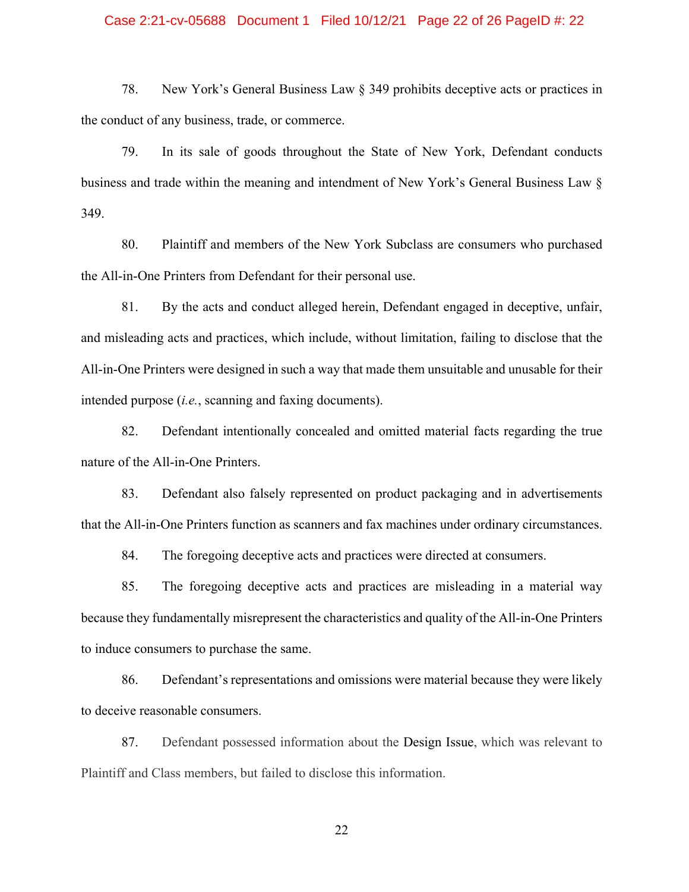#### Case 2:21-cv-05688 Document 1 Filed 10/12/21 Page 22 of 26 PageID #: 22

78. New York's General Business Law § 349 prohibits deceptive acts or practices in the conduct of any business, trade, or commerce.

79. In its sale of goods throughout the State of New York, Defendant conducts business and trade within the meaning and intendment of New York's General Business Law § 349.

80. Plaintiff and members of the New York Subclass are consumers who purchased the All-in-One Printers from Defendant for their personal use.

81. By the acts and conduct alleged herein, Defendant engaged in deceptive, unfair, and misleading acts and practices, which include, without limitation, failing to disclose that the All-in-One Printers were designed in such a way that made them unsuitable and unusable for their intended purpose (*i.e.*, scanning and faxing documents).

82. Defendant intentionally concealed and omitted material facts regarding the true nature of the All-in-One Printers.

83. Defendant also falsely represented on product packaging and in advertisements that the All-in-One Printers function as scanners and fax machines under ordinary circumstances.

84. The foregoing deceptive acts and practices were directed at consumers.

85. The foregoing deceptive acts and practices are misleading in a material way because they fundamentally misrepresent the characteristics and quality of the All-in-One Printers to induce consumers to purchase the same.

86. Defendant's representations and omissions were material because they were likely to deceive reasonable consumers.

87. Defendant possessed information about the Design Issue, which was relevant to Plaintiff and Class members, but failed to disclose this information.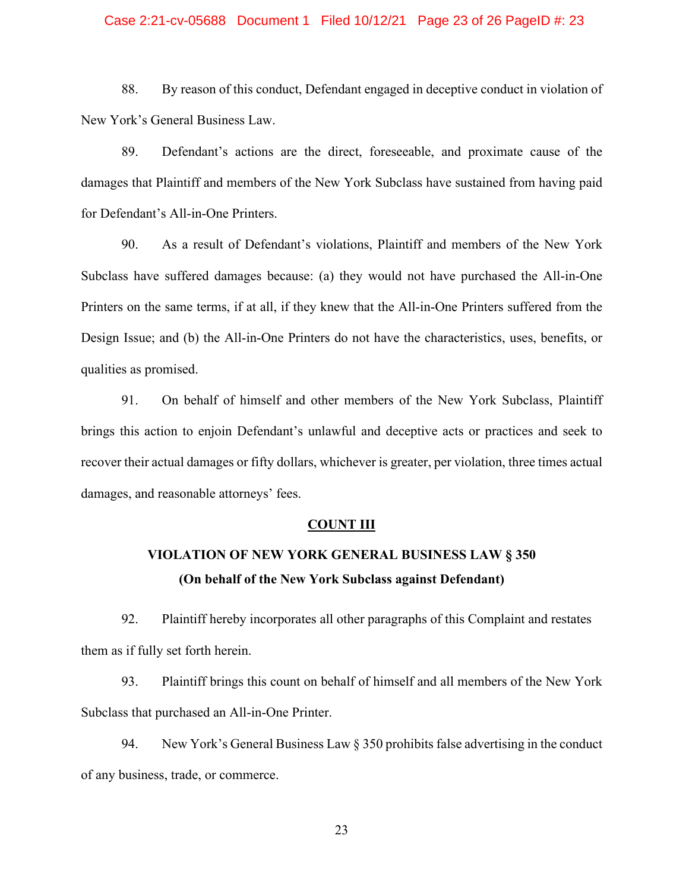#### Case 2:21-cv-05688 Document 1 Filed 10/12/21 Page 23 of 26 PageID #: 23

88. By reason of this conduct, Defendant engaged in deceptive conduct in violation of New York's General Business Law.

89. Defendant's actions are the direct, foreseeable, and proximate cause of the damages that Plaintiff and members of the New York Subclass have sustained from having paid for Defendant's All-in-One Printers.

90. As a result of Defendant's violations, Plaintiff and members of the New York Subclass have suffered damages because: (a) they would not have purchased the All-in-One Printers on the same terms, if at all, if they knew that the All-in-One Printers suffered from the Design Issue; and (b) the All-in-One Printers do not have the characteristics, uses, benefits, or qualities as promised.

91. On behalf of himself and other members of the New York Subclass, Plaintiff brings this action to enjoin Defendant's unlawful and deceptive acts or practices and seek to recover their actual damages or fifty dollars, whichever is greater, per violation, three times actual damages, and reasonable attorneys' fees.

#### **COUNT III**

# **VIOLATION OF NEW YORK GENERAL BUSINESS LAW § 350 (On behalf of the New York Subclass against Defendant)**

92. Plaintiff hereby incorporates all other paragraphs of this Complaint and restates them as if fully set forth herein.

93. Plaintiff brings this count on behalf of himself and all members of the New York Subclass that purchased an All-in-One Printer.

94. New York's General Business Law § 350 prohibits false advertising in the conduct of any business, trade, or commerce.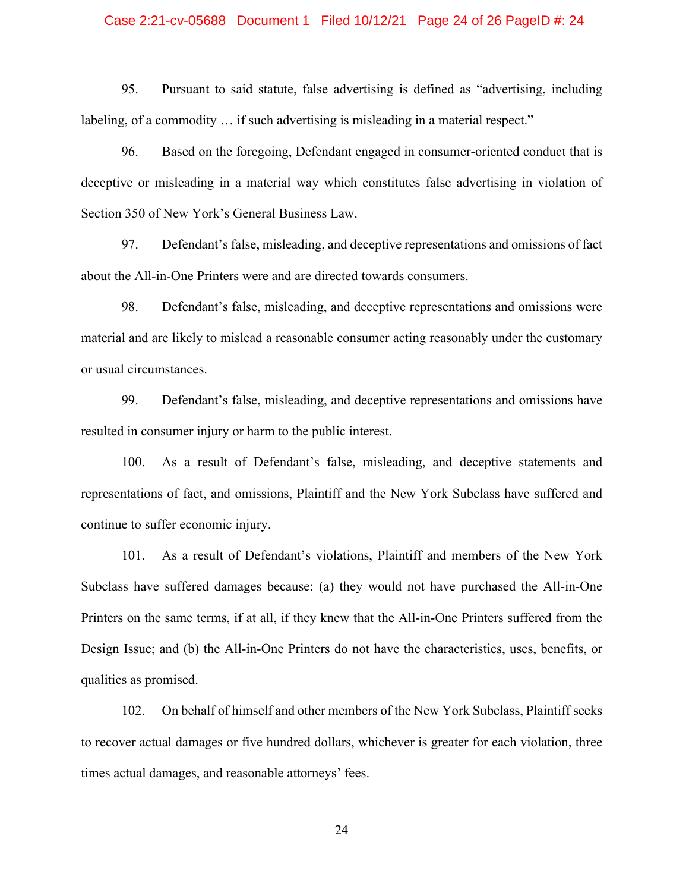#### Case 2:21-cv-05688 Document 1 Filed 10/12/21 Page 24 of 26 PageID #: 24

95. Pursuant to said statute, false advertising is defined as "advertising, including labeling, of a commodity ... if such advertising is misleading in a material respect."

96. Based on the foregoing, Defendant engaged in consumer-oriented conduct that is deceptive or misleading in a material way which constitutes false advertising in violation of Section 350 of New York's General Business Law.

97. Defendant's false, misleading, and deceptive representations and omissions of fact about the All-in-One Printers were and are directed towards consumers.

98. Defendant's false, misleading, and deceptive representations and omissions were material and are likely to mislead a reasonable consumer acting reasonably under the customary or usual circumstances.

99. Defendant's false, misleading, and deceptive representations and omissions have resulted in consumer injury or harm to the public interest.

100. As a result of Defendant's false, misleading, and deceptive statements and representations of fact, and omissions, Plaintiff and the New York Subclass have suffered and continue to suffer economic injury.

101. As a result of Defendant's violations, Plaintiff and members of the New York Subclass have suffered damages because: (a) they would not have purchased the All-in-One Printers on the same terms, if at all, if they knew that the All-in-One Printers suffered from the Design Issue; and (b) the All-in-One Printers do not have the characteristics, uses, benefits, or qualities as promised.

102. On behalf of himself and other members of the New York Subclass, Plaintiff seeks to recover actual damages or five hundred dollars, whichever is greater for each violation, three times actual damages, and reasonable attorneys' fees.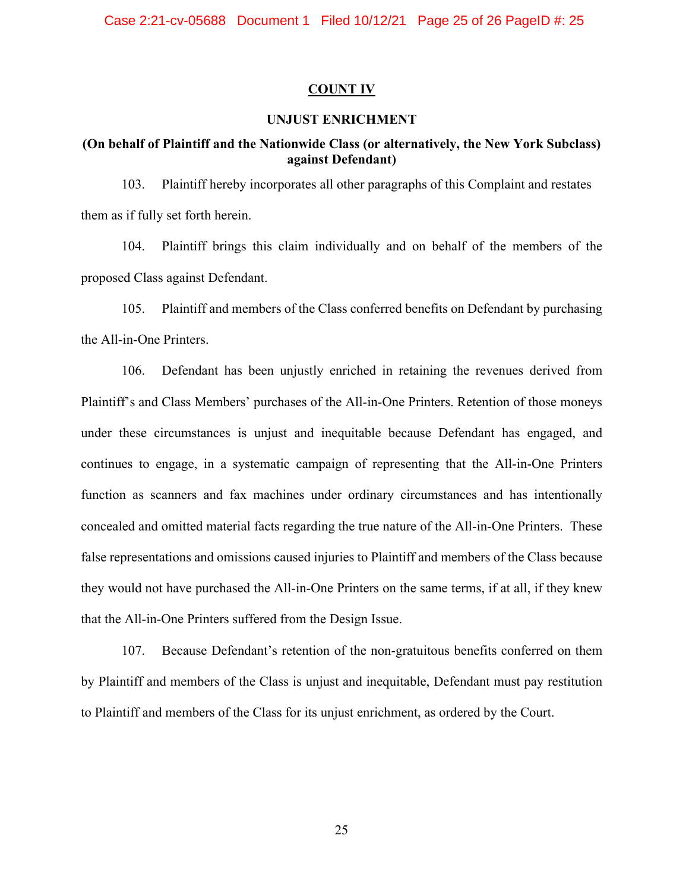#### **COUNT IV**

#### **UNJUST ENRICHMENT**

## **(On behalf of Plaintiff and the Nationwide Class (or alternatively, the New York Subclass) against Defendant)**

103. Plaintiff hereby incorporates all other paragraphs of this Complaint and restates them as if fully set forth herein.

104. Plaintiff brings this claim individually and on behalf of the members of the proposed Class against Defendant.

105. Plaintiff and members of the Class conferred benefits on Defendant by purchasing the All-in-One Printers.

106. Defendant has been unjustly enriched in retaining the revenues derived from Plaintiff's and Class Members' purchases of the All-in-One Printers. Retention of those moneys under these circumstances is unjust and inequitable because Defendant has engaged, and continues to engage, in a systematic campaign of representing that the All-in-One Printers function as scanners and fax machines under ordinary circumstances and has intentionally concealed and omitted material facts regarding the true nature of the All-in-One Printers. These false representations and omissions caused injuries to Plaintiff and members of the Class because they would not have purchased the All-in-One Printers on the same terms, if at all, if they knew that the All-in-One Printers suffered from the Design Issue.

107. Because Defendant's retention of the non-gratuitous benefits conferred on them by Plaintiff and members of the Class is unjust and inequitable, Defendant must pay restitution to Plaintiff and members of the Class for its unjust enrichment, as ordered by the Court.